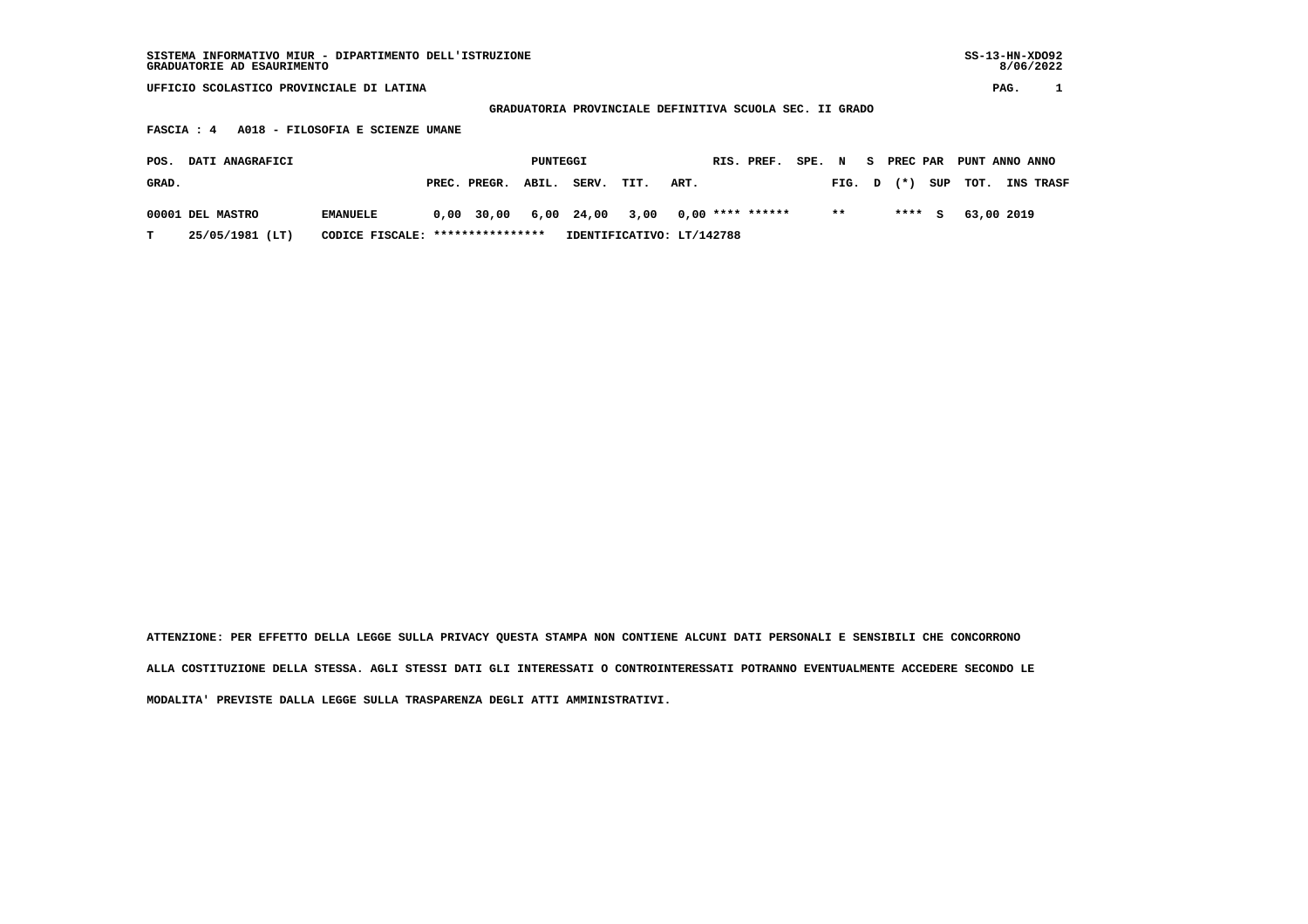**GRADUATORIA PROVINCIALE DEFINITIVA SCUOLA SEC. II GRADO**

 **FASCIA : 4 A018 - FILOSOFIA E SCIENZE UMANE**

| POS.  | DATI ANAGRAFICI  |                                  |                    | PUNTEGGI |       |                                               |      | RIS. PREF. SPE. N S PREC PAR PUNT ANNO ANNO |       |  |  |                         |                  |
|-------|------------------|----------------------------------|--------------------|----------|-------|-----------------------------------------------|------|---------------------------------------------|-------|--|--|-------------------------|------------------|
| GRAD. |                  |                                  | PREC. PREGR. ABIL. |          | SERV. | TIT.                                          | ART. |                                             |       |  |  | FIG. $D$ $(*)$ SUP TOT. | <b>INS TRASF</b> |
|       | 00001 DEL MASTRO | <b>EMANUELE</b>                  |                    |          |       | $0,00$ 30,00 6,00 24,00 3,00 0,00 **** ****** |      |                                             | $***$ |  |  | **** S 63,00 2019       |                  |
|       | 25/05/1981 (LT)  | CODICE FISCALE: **************** |                    |          |       | IDENTIFICATIVO: LT/142788                     |      |                                             |       |  |  |                         |                  |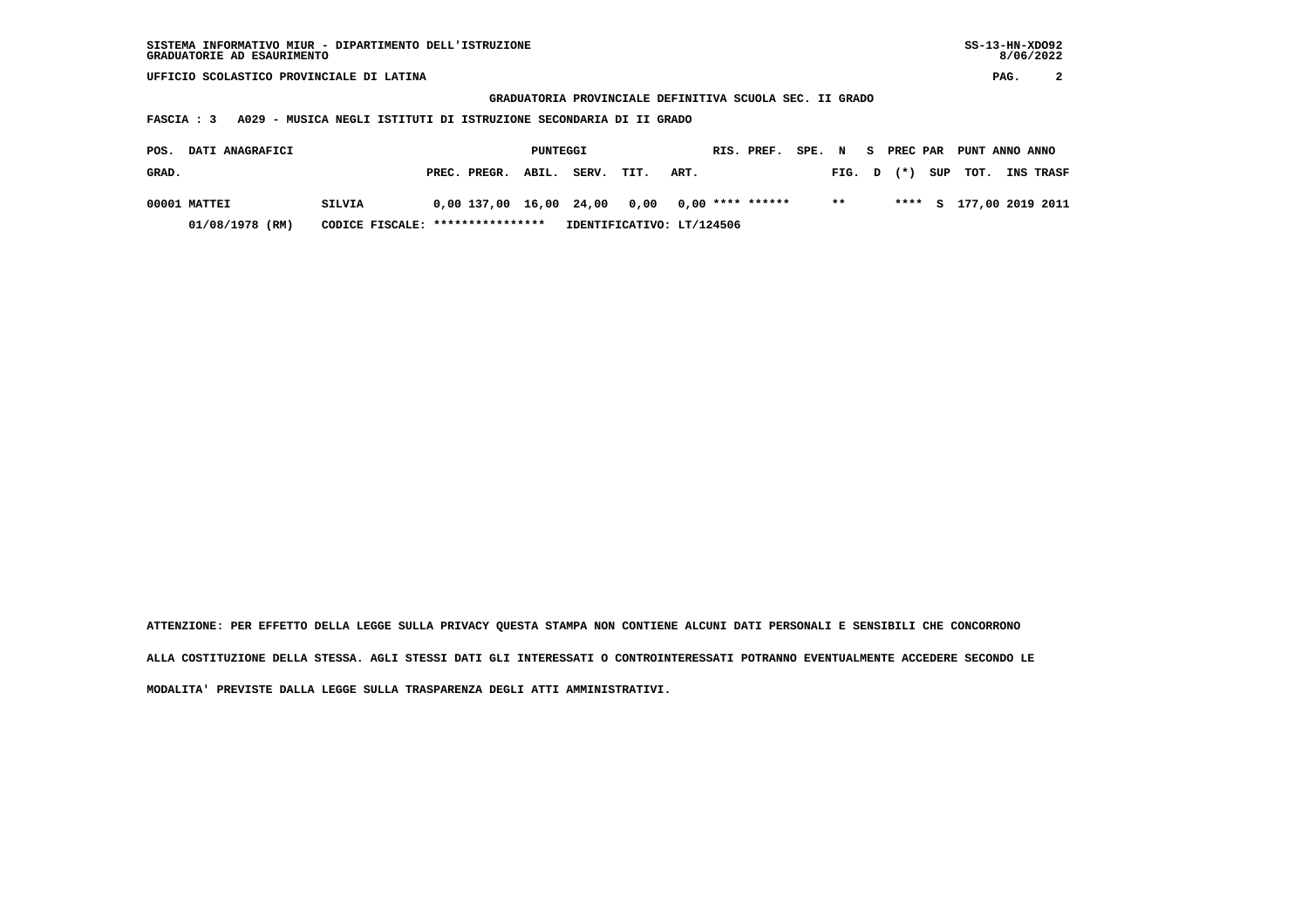**GRADUATORIA PROVINCIALE DEFINITIVA SCUOLA SEC. II GRADO**

 **FASCIA : 3 A029 - MUSICA NEGLI ISTITUTI DI ISTRUZIONE SECONDARIA DI II GRADO**

| POS.  | <b>DATI ANAGRAFICI</b> |                                  |                                                 | PUNTEGGI |                           |      |      | RIS. PREF. | SPE. N |        |  | S PREC PAR PUNT ANNO ANNO |                         |
|-------|------------------------|----------------------------------|-------------------------------------------------|----------|---------------------------|------|------|------------|--------|--------|--|---------------------------|-------------------------|
| GRAD. |                        |                                  | PREC. PREGR. ABIL.                              |          | SERV.                     | TIT. | ART. |            |        | FIG. D |  | $(\star)$ SUP TOT.        | <b>INS TRASF</b>        |
|       | 00001 MATTEI           | SILVIA                           | $0.00$ 137.00 16.00 24.00 0.00 0.00 **** ****** |          |                           |      |      |            |        | $* *$  |  |                           | **** S 177,00 2019 2011 |
|       | 01/08/1978 (RM)        | CODICE FISCALE: **************** |                                                 |          | IDENTIFICATIVO: LT/124506 |      |      |            |        |        |  |                           |                         |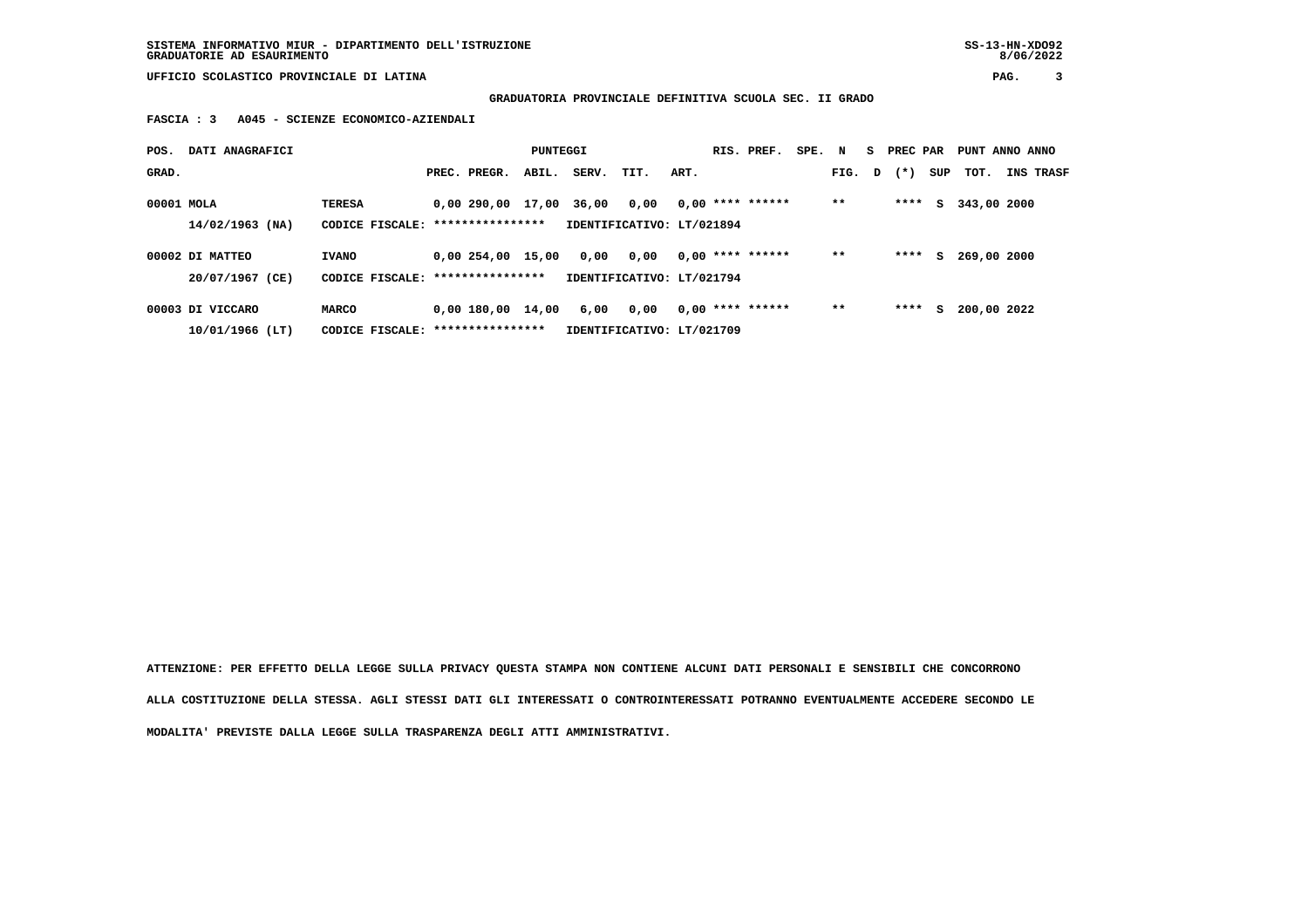**SISTEMA INFORMATIVO MIUR - DIPARTIMENTO DELL'ISTRUZIONE SS-13-HN-XDO92 GRADUATORIE AD ESAURIMENTO 8/06/2022**

 **UFFICIO SCOLASTICO PROVINCIALE DI LATINA PAG. 3**

 **GRADUATORIA PROVINCIALE DEFINITIVA SCUOLA SEC. II GRADO**

 **FASCIA : 3 A045 - SCIENZE ECONOMICO-AZIENDALI**

| POS.       | DATI ANAGRAFICI   |                                   |                   | PUNTEGGI |       |                           |      | RIS. PREF.         | SPE. N |       |   | S PREC PAR |     | PUNT ANNO ANNO |                  |
|------------|-------------------|-----------------------------------|-------------------|----------|-------|---------------------------|------|--------------------|--------|-------|---|------------|-----|----------------|------------------|
| GRAD.      |                   |                                   | PREC. PREGR.      | ABIL.    | SERV. | TIT.                      | ART. |                    |        | FIG.  | D | $(* )$     | SUP | тот.           | <b>INS TRASF</b> |
| 00001 MOLA |                   | <b>TERESA</b>                     | 0,00 290,00 17,00 |          | 36,00 | 0,00                      |      | $0,00$ **** ****** |        | $* *$ |   | ****       | s   | 343,00 2000    |                  |
|            | $14/02/1963$ (NA) | CODICE FISCALE: ****************  |                   |          |       | IDENTIFICATIVO: LT/021894 |      |                    |        |       |   |            |     |                |                  |
|            | 00002 DI MATTEO   | <b>IVANO</b>                      | 0.00254.00        | 15,00    | 0,00  | 0,00                      |      | $0.00$ **** ****** |        | $* *$ |   | ****       | s   | 269,00 2000    |                  |
|            | 20/07/1967 (CE)   | CODICE FISCALE: ***************** |                   |          |       | IDENTIFICATIVO: LT/021794 |      |                    |        |       |   |            |     |                |                  |
|            | 00003 DI VICCARO  | MARCO                             | 0,00 180,00       | 14,00    | 6,00  | 0.00                      |      | $0.00$ **** ****** |        | $* *$ |   | ****       | s   | 200,00 2022    |                  |
|            | $10/01/1966$ (LT) | CODICE FISCALE: ****************  |                   |          |       | IDENTIFICATIVO: LT/021709 |      |                    |        |       |   |            |     |                |                  |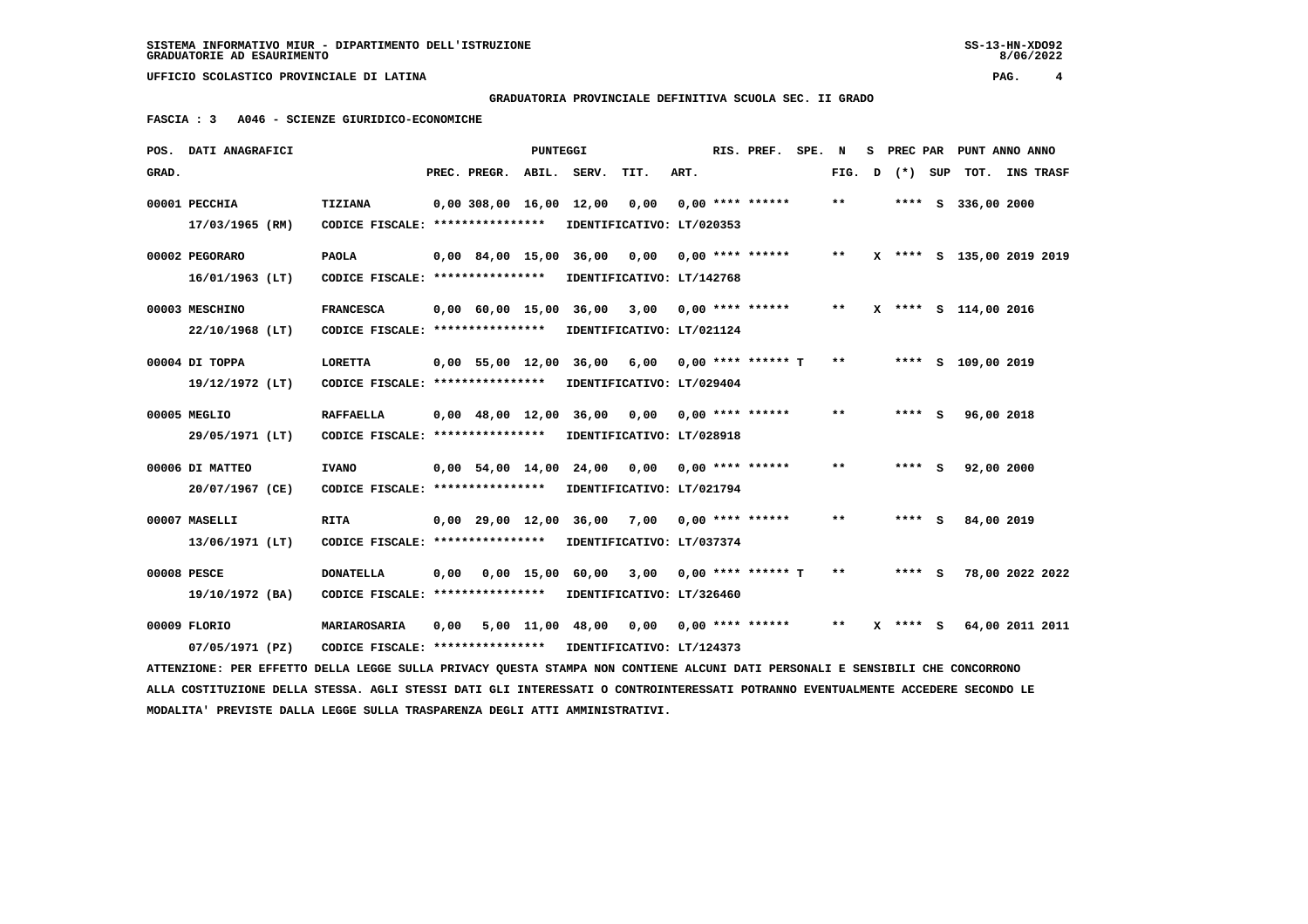**GRADUATORIA PROVINCIALE DEFINITIVA SCUOLA SEC. II GRADO**

 **FASCIA : 3 A046 - SCIENZE GIURIDICO-ECONOMICHE**

| POS. DATI ANAGRAFICI                                                                                                            |                                                            |      |                                | PUNTEGGI |                                          |                                 |      | RIS. PREF.           | SPE. | N                          | s | PREC PAR   |         | PUNT ANNO ANNO            |  |
|---------------------------------------------------------------------------------------------------------------------------------|------------------------------------------------------------|------|--------------------------------|----------|------------------------------------------|---------------------------------|------|----------------------|------|----------------------------|---|------------|---------|---------------------------|--|
| GRAD.                                                                                                                           |                                                            |      | PREC. PREGR. ABIL. SERV.       |          |                                          | TIT.                            | ART. |                      |      | FIG.                       | D |            | (*) SUP | TOT. INS TRASF            |  |
| 00001 PECCHIA                                                                                                                   | <b>TIZIANA</b>                                             |      | 0,00 308,00 16,00 12,00        |          |                                          | 0,00                            |      | $0.00$ **** ******   |      | $* *$                      |   |            |         | **** S 336,00 2000        |  |
| 17/03/1965 (RM)                                                                                                                 | CODICE FISCALE: ****************                           |      |                                |          |                                          | IDENTIFICATIVO: LT/020353       |      |                      |      |                            |   |            |         |                           |  |
| 00002 PEGORARO                                                                                                                  | <b>PAOLA</b>                                               |      |                                |          | 0,00 84,00 15,00 36,00                   | 0.00                            |      | $0.00$ **** ******   |      | $\pmb{\times}\pmb{\times}$ |   |            |         | X **** S 135,00 2019 2019 |  |
| $16/01/1963$ (LT)                                                                                                               | CODICE FISCALE: ****************                           |      |                                |          |                                          | IDENTIFICATIVO: LT/142768       |      |                      |      |                            |   |            |         |                           |  |
| 00003 MESCHINO                                                                                                                  | <b>FRANCESCA</b>                                           |      | 0,00 60,00 15,00               |          | 36,00                                    | 3,00                            |      | 0,00 **** ******     |      | $***$                      |   |            |         | X **** S 114,00 2016      |  |
| 22/10/1968 (LT)                                                                                                                 | CODICE FISCALE: *****************                          |      |                                |          |                                          | IDENTIFICATIVO: LT/021124       |      |                      |      |                            |   |            |         |                           |  |
| 00004 DI TOPPA                                                                                                                  | <b>LORETTA</b>                                             |      |                                |          | 0,00 55,00 12,00 36,00 6,00              |                                 |      | $0.00$ **** ****** T |      | $* *$                      |   |            |         | **** S 109,00 2019        |  |
| 19/12/1972 (LT)                                                                                                                 | CODICE FISCALE: ****************                           |      |                                |          |                                          | IDENTIFICATIVO: LT/029404       |      |                      |      |                            |   |            |         |                           |  |
| 00005 MEGLIO                                                                                                                    | <b>RAFFAELLA</b>                                           |      | $0.00 \quad 48.00 \quad 12.00$ |          | 36,00                                    | 0,00                            |      | $0.00$ **** ******   |      | $* *$                      |   | **** S     |         | 96,00 2018                |  |
| 29/05/1971 (LT)                                                                                                                 | CODICE FISCALE: ****************                           |      |                                |          |                                          | IDENTIFICATIVO: LT/028918       |      |                      |      |                            |   |            |         |                           |  |
| 00006 DI MATTEO                                                                                                                 | <b>IVANO</b>                                               |      |                                |          | 0,00 54,00 14,00 24,00                   | $0,00$ $0,00$ $***$ **** ****** |      |                      |      | $* *$                      |   | **** S     |         | 92,00 2000                |  |
| 20/07/1967 (CE)                                                                                                                 | CODICE FISCALE: ****************                           |      |                                |          |                                          | IDENTIFICATIVO: LT/021794       |      |                      |      |                            |   |            |         |                           |  |
| 00007 MASELLI                                                                                                                   | <b>RITA</b>                                                |      | $0.00$ 29.00 12.00 36.00       |          |                                          | 7,00                            |      | $0.00$ **** ******   |      | * *                        |   | ****       | S.      | 84,00 2019                |  |
| 13/06/1971 (LT)                                                                                                                 | CODICE FISCALE: ****************                           |      |                                |          |                                          | IDENTIFICATIVO: LT/037374       |      |                      |      |                            |   |            |         |                           |  |
| 00008 PESCE                                                                                                                     | <b>DONATELLA</b>                                           | 0,00 |                                |          | 0,00 15,00 60,00                         | 3,00                            |      | $0.00$ **** ****** T |      | $**$                       |   | **** S     |         | 78,00 2022 2022           |  |
| 19/10/1972 (BA)                                                                                                                 | CODICE FISCALE: ****************                           |      |                                |          |                                          | IDENTIFICATIVO: LT/326460       |      |                      |      |                            |   |            |         |                           |  |
| 00009 FLORIO                                                                                                                    | MARIAROSARIA                                               | 0,00 |                                |          | $5,00$ 11,00 48,00 0,00 0,00 **** ****** |                                 |      |                      |      | $***$                      |   | $X$ **** S |         | 64,00 2011 2011           |  |
| 07/05/1971 (PZ)                                                                                                                 | CODICE FISCALE: **************** IDENTIFICATIVO: LT/124373 |      |                                |          |                                          |                                 |      |                      |      |                            |   |            |         |                           |  |
| ATTENZIONE: PER EFFETTO DELLA LEGGE SULLA PRIVACY OUESTA STAMPA NON CONTIENE ALCUNI DATI PERSONALI E SENSIBILI CHE CONCORRONO   |                                                            |      |                                |          |                                          |                                 |      |                      |      |                            |   |            |         |                           |  |
| ALLA COSTITUZIONE DELLA STESSA. AGLI STESSI DATI GLI INTERESSATI O CONTROINTERESSATI POTRANNO EVENTUALMENTE ACCEDERE SECONDO LE |                                                            |      |                                |          |                                          |                                 |      |                      |      |                            |   |            |         |                           |  |
| MODALITA' PREVISTE DALLA LEGGE SULLA TRASPARENZA DEGLI ATTI AMMINISTRATIVI.                                                     |                                                            |      |                                |          |                                          |                                 |      |                      |      |                            |   |            |         |                           |  |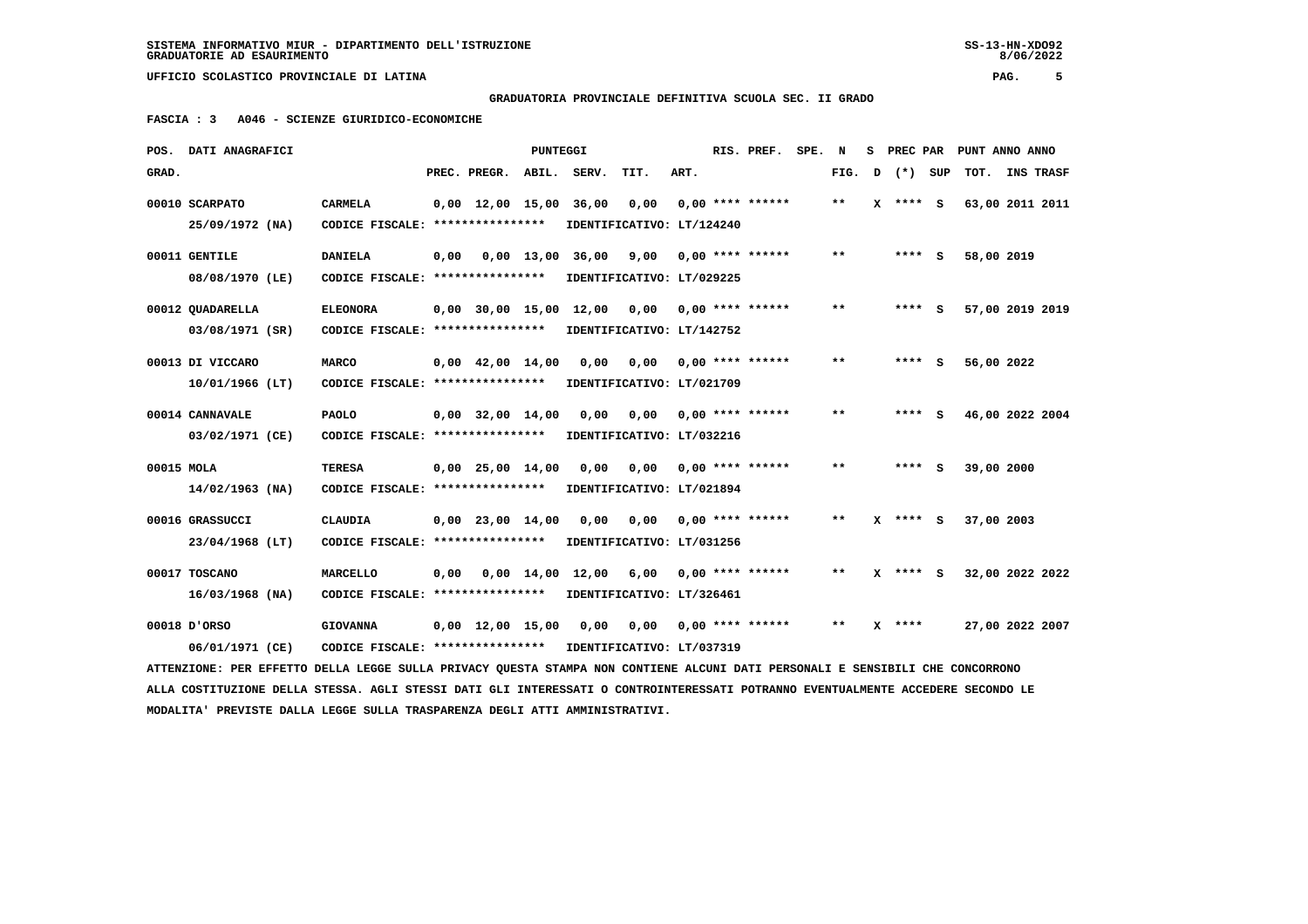$8/06/2022$ 

 **UFFICIO SCOLASTICO PROVINCIALE DI LATINA PAG. 5**

## **GRADUATORIA PROVINCIALE DEFINITIVA SCUOLA SEC. II GRADO**

 **FASCIA : 3 A046 - SCIENZE GIURIDICO-ECONOMICHE**

|            | POS. DATI ANAGRAFICI                                                                                                            |                                           |      |                                | <b>PUNTEGGI</b> |                           |                                   |      | RIS. PREF.         | SPE. N |       | s | <b>PREC PAR</b> |     | PUNT ANNO ANNO  |                  |  |
|------------|---------------------------------------------------------------------------------------------------------------------------------|-------------------------------------------|------|--------------------------------|-----------------|---------------------------|-----------------------------------|------|--------------------|--------|-------|---|-----------------|-----|-----------------|------------------|--|
| GRAD.      |                                                                                                                                 |                                           |      | PREC. PREGR.                   | ABIL.           | SERV.                     | TIT.                              | ART. |                    |        | FIG.  | D | $(*)$           | SUP | TOT.            | <b>INS TRASF</b> |  |
|            | 00010 SCARPATO                                                                                                                  | CARMELA                                   |      | $0.00 \quad 12.00 \quad 15.00$ |                 | 36,00                     | 0,00                              |      | $0.00$ **** ****** |        | $***$ | x | **** S          |     | 63,00 2011 2011 |                  |  |
|            | 25/09/1972 (NA)                                                                                                                 | CODICE FISCALE: ****************          |      |                                |                 |                           | IDENTIFICATIVO: LT/124240         |      |                    |        |       |   |                 |     |                 |                  |  |
|            | 00011 GENTILE                                                                                                                   | <b>DANIELA</b>                            | 0,00 |                                |                 | $0.00$ 13,00 36,00        | 9,00                              |      | $0.00$ **** ****** |        | $* *$ |   | $***$ S         |     | 58,00 2019      |                  |  |
|            | 08/08/1970 (LE)                                                                                                                 | CODICE FISCALE: ****************          |      |                                |                 |                           | IDENTIFICATIVO: LT/029225         |      |                    |        |       |   |                 |     |                 |                  |  |
|            | 00012 QUADARELLA                                                                                                                | <b>ELEONORA</b>                           |      | 0,00 30,00 15,00               |                 | 12,00                     | 0,00                              |      | $0.00$ **** ****** |        | $* *$ |   | $***$ S         |     | 57,00 2019 2019 |                  |  |
|            | 03/08/1971 (SR)                                                                                                                 | CODICE FISCALE: ****************          |      |                                |                 |                           | IDENTIFICATIVO: LT/142752         |      |                    |        |       |   |                 |     |                 |                  |  |
|            |                                                                                                                                 |                                           |      |                                |                 |                           |                                   |      | $0.00$ **** ****** |        | $* *$ |   | **** S          |     |                 |                  |  |
|            | 00013 DI VICCARO<br>$10/01/1966$ (LT)                                                                                           | MARCO<br>CODICE FISCALE: **************** |      | $0,00 \quad 42,00 \quad 14,00$ |                 | 0,00                      | 0,00<br>IDENTIFICATIVO: LT/021709 |      |                    |        |       |   |                 |     | 56,00 2022      |                  |  |
|            |                                                                                                                                 |                                           |      |                                |                 |                           |                                   |      |                    |        |       |   |                 |     |                 |                  |  |
|            | 00014 CANNAVALE                                                                                                                 | <b>PAOLO</b>                              |      | $0,00$ 32,00 14,00             |                 | 0.00                      | 0.00                              |      | $0.00$ **** ****** |        | $* *$ |   | $***$ S         |     | 46,00 2022 2004 |                  |  |
|            | 03/02/1971 (CE)                                                                                                                 | CODICE FISCALE: ****************          |      |                                |                 |                           | IDENTIFICATIVO: LT/032216         |      |                    |        |       |   |                 |     |                 |                  |  |
| 00015 MOLA |                                                                                                                                 | <b>TERESA</b>                             |      | $0,00$ 25,00 14,00             |                 | 0,00                      | 0,00                              |      | $0.00$ **** ****** |        | $* *$ |   | $***$ S         |     | 39,00 2000      |                  |  |
|            | $14/02/1963$ (NA)                                                                                                               | CODICE FISCALE: ****************          |      |                                |                 |                           | IDENTIFICATIVO: LT/021894         |      |                    |        |       |   |                 |     |                 |                  |  |
|            | 00016 GRASSUCCI                                                                                                                 | <b>CLAUDIA</b>                            |      | $0,00$ 23,00 14,00             |                 | 0,00                      | 0,00                              |      | $0.00$ **** ****** |        | $* *$ | x | $***$ S         |     | 37,00 2003      |                  |  |
|            | 23/04/1968 (LT)                                                                                                                 | CODICE FISCALE: ****************          |      |                                |                 |                           | IDENTIFICATIVO: LT/031256         |      |                    |        |       |   |                 |     |                 |                  |  |
|            |                                                                                                                                 |                                           |      |                                |                 |                           |                                   |      |                    |        |       |   |                 |     |                 |                  |  |
|            | 00017 TOSCANO                                                                                                                   | <b>MARCELLO</b>                           | 0.00 |                                |                 | 0,00 14,00 12,00          | 6,00                              |      | $0.00$ **** ****** |        | $* *$ |   | X **** S        |     | 32,00 2022 2022 |                  |  |
|            | $16/03/1968$ (NA)                                                                                                               | CODICE FISCALE: ****************          |      |                                |                 |                           | IDENTIFICATIVO: LT/326461         |      |                    |        |       |   |                 |     |                 |                  |  |
|            | 00018 D'ORSO                                                                                                                    | <b>GIOVANNA</b>                           |      | $0,00 \quad 12,00 \quad 15,00$ |                 | 0,00                      | 0,00                              |      | $0.00$ **** ****** |        | $**$  |   | $X$ ****        |     | 27,00 2022 2007 |                  |  |
|            | 06/01/1971 (CE)                                                                                                                 | CODICE FISCALE: ****************          |      |                                |                 | IDENTIFICATIVO: LT/037319 |                                   |      |                    |        |       |   |                 |     |                 |                  |  |
|            | ATTENZIONE: PER EFFETTO DELLA LEGGE SULLA PRIVACY QUESTA STAMPA NON CONTIENE ALCUNI DATI PERSONALI E SENSIBILI CHE CONCORRONO   |                                           |      |                                |                 |                           |                                   |      |                    |        |       |   |                 |     |                 |                  |  |
|            | ALLA COSTITUZIONE DELLA STESSA. AGLI STESSI DATI GLI INTERESSATI O CONTROINTERESSATI POTRANNO EVENTUALMENTE ACCEDERE SECONDO LE |                                           |      |                                |                 |                           |                                   |      |                    |        |       |   |                 |     |                 |                  |  |
|            | MODALITA' PREVISTE DALLA LEGGE SULLA TRASPARENZA DEGLI ATTI AMMINISTRATIVI.                                                     |                                           |      |                                |                 |                           |                                   |      |                    |        |       |   |                 |     |                 |                  |  |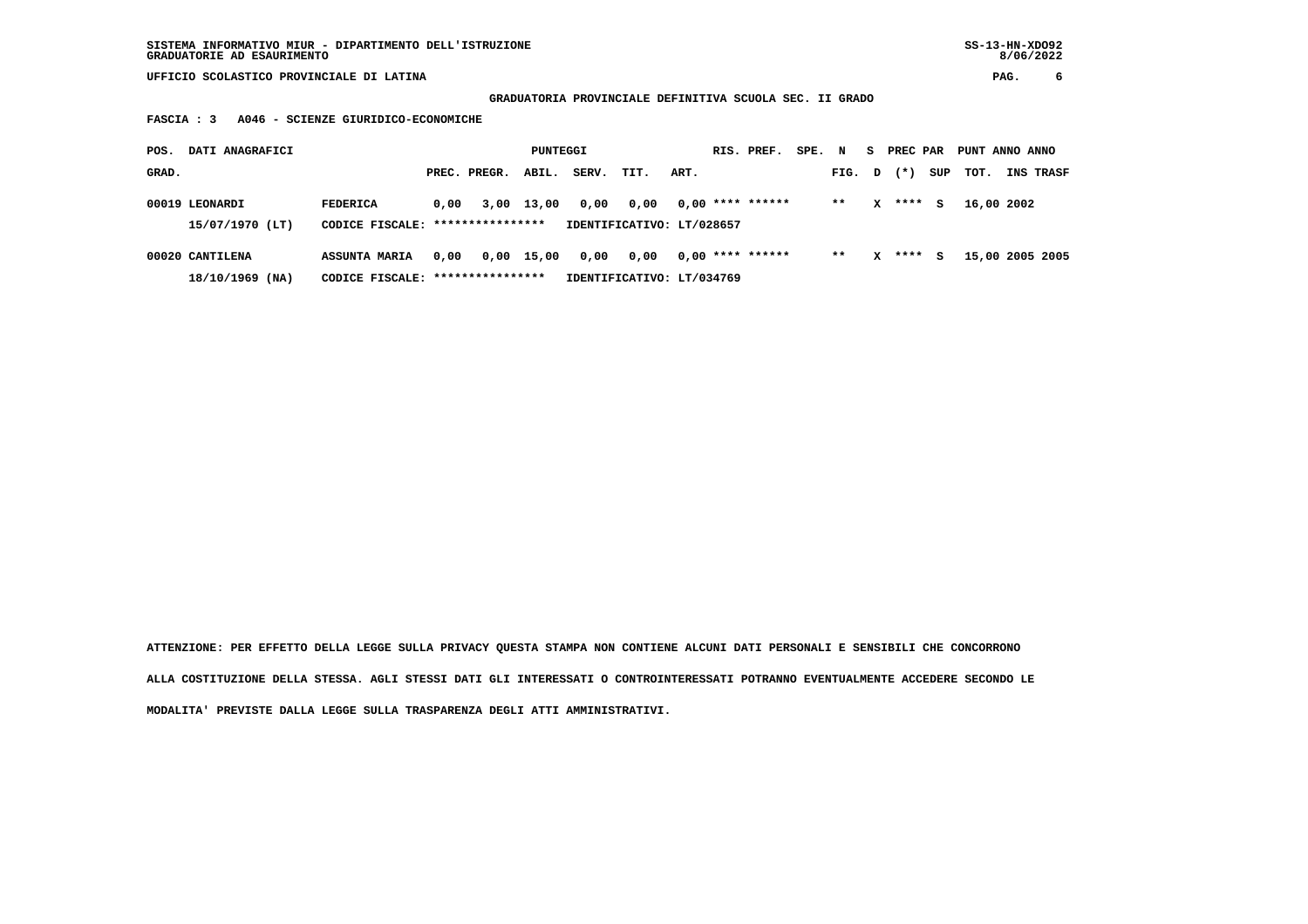## **GRADUATORIA PROVINCIALE DEFINITIVA SCUOLA SEC. II GRADO**

 **FASCIA : 3 A046 - SCIENZE GIURIDICO-ECONOMICHE**

| POS.  | DATI ANAGRAFICI                   |                                                     |      |              | PUNTEGGI   |       |                                   |      | RIS. PREF.         | SPE. | N     | s.     | PREC PAR |     | PUNT ANNO ANNO |                 |
|-------|-----------------------------------|-----------------------------------------------------|------|--------------|------------|-------|-----------------------------------|------|--------------------|------|-------|--------|----------|-----|----------------|-----------------|
| GRAD. |                                   |                                                     |      | PREC. PREGR. | ABIL.      | SERV. | TIT.                              | ART. |                    |      | FIG.  | $\Box$ | $(* )$   | SUP | TOT.           | INS TRASF       |
|       | 00019 LEONARDI<br>15/07/1970 (LT) | <b>FEDERICA</b><br>CODICE FISCALE: **************** | 0,00 |              | 3,00 13,00 | 0,00  | 0,00<br>IDENTIFICATIVO: LT/028657 |      | $0.00$ **** ****** |      | $* *$ | x      | ****     | s   | 16,00 2002     |                 |
|       |                                   |                                                     |      |              |            |       |                                   |      |                    |      |       |        |          |     |                |                 |
|       | 00020 CANTILENA                   | <b>ASSUNTA MARIA</b>                                | 0.00 |              | 0,00 15,00 | 0,00  | 0,00                              |      | $0.00$ **** ****** |      | $***$ | x      | ****     | s   |                | 15,00 2005 2005 |
|       | $18/10/1969$ (NA)                 | CODICE FISCALE: *****************                   |      |              |            |       | IDENTIFICATIVO: LT/034769         |      |                    |      |       |        |          |     |                |                 |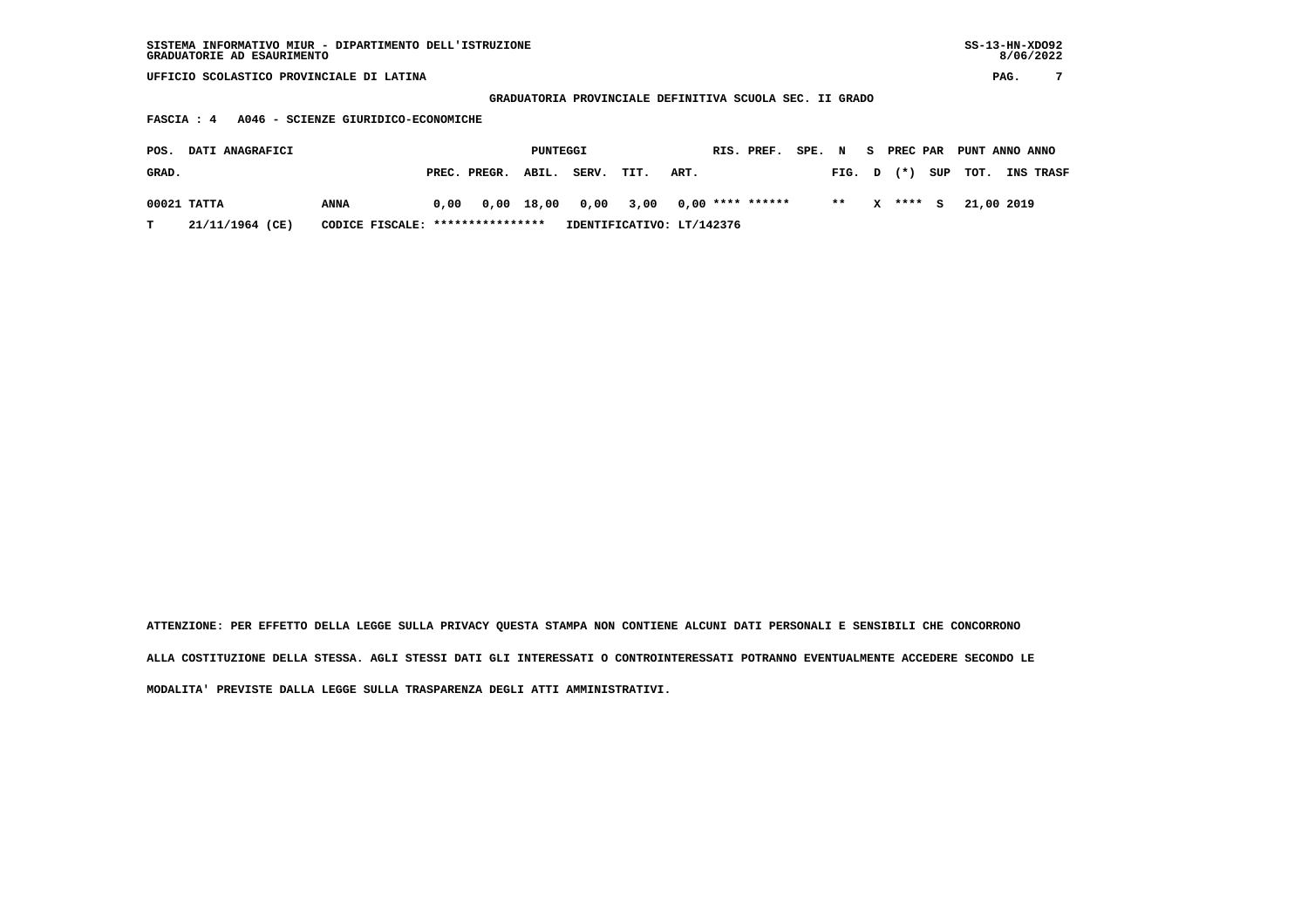| SISTEMA INFORMATIVO MIUR - DIPARTIMENTO DELL'ISTRUZIONE | SS-13-HN-XD092 |
|---------------------------------------------------------|----------------|
| GRADUATORIE AD ESAURIMENTO                              | 8/06/2022      |

 **GRADUATORIA PROVINCIALE DEFINITIVA SCUOLA SEC. II GRADO**

 **FASCIA : 4 A046 - SCIENZE GIURIDICO-ECONOMICHE**

| POS.  | <b>DATI ANAGRAFICI</b> |                                  |      |                    | PUNTEGGI |                                       |                           |      | RIS. PREF. | SPE. N |                |   | <b>S</b> PREC PAR |     | PUNT ANNO ANNO |                  |
|-------|------------------------|----------------------------------|------|--------------------|----------|---------------------------------------|---------------------------|------|------------|--------|----------------|---|-------------------|-----|----------------|------------------|
| GRAD. |                        |                                  |      | PREC. PREGR. ABIL. |          | SERV.                                 | TIT.                      | ART. |            |        | $FIG. D$ $(*)$ |   |                   | SUP | тот.           | <b>INS TRASF</b> |
|       | 00021 TATTA            | ANNA                             | 0.00 |                    |          | 0,00 18,00 0,00 3,00 0,00 **** ****** |                           |      |            |        | $***$          | x | $***$ S           |     | 21,00 2019     |                  |
|       | 21/11/1964 (CE)        | CODICE FISCALE: **************** |      |                    |          |                                       | IDENTIFICATIVO: LT/142376 |      |            |        |                |   |                   |     |                |                  |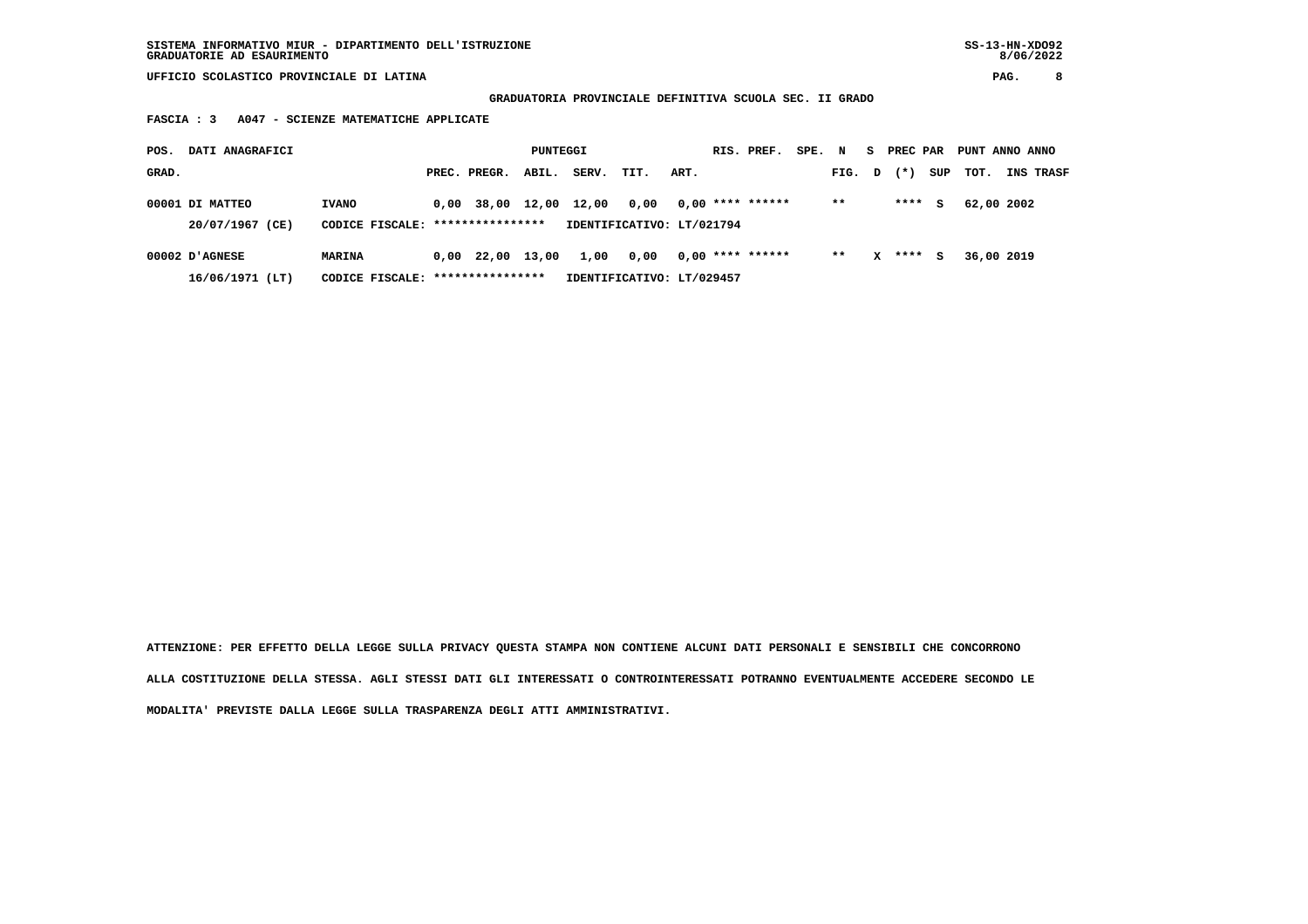**GRADUATORIA PROVINCIALE DEFINITIVA SCUOLA SEC. II GRADO**

 **FASCIA : 3 A047 - SCIENZE MATEMATICHE APPLICATE**

| POS.  | DATI ANAGRAFICI                    |                                   |      |                           | PUNTEGGI |       |                                   |      | RIS. PREF.         | SPE. | N     | s. | PREC PAR |     | PUNT ANNO ANNO |           |
|-------|------------------------------------|-----------------------------------|------|---------------------------|----------|-------|-----------------------------------|------|--------------------|------|-------|----|----------|-----|----------------|-----------|
| GRAD. |                                    |                                   |      | PREC. PREGR.              | ABIL.    | SERV. | TIT.                              | ART. |                    |      | FIG.  | D  | $(* )$   | SUP | тот.           | INS TRASF |
|       | 00001 DI MATTEO<br>20/07/1967 (CE) | <b>IVANO</b><br>CODICE FISCALE:   | 0,00 | 38,00<br>**************** | 12,00    | 12,00 | 0.00<br>IDENTIFICATIVO: LT/021794 |      | $0,00$ **** ****** |      | $***$ |    | ****     | s   | 62,00 2002     |           |
|       |                                    |                                   |      |                           |          |       |                                   |      |                    |      |       |    |          |     |                |           |
|       | $00002$ D'AGNESE                   | MARINA                            | 0,00 | 22,00                     | 13,00    | 1,00  | 0,00                              |      | $0.00$ **** ****** |      | $* *$ | x  | ****     | s   | 36,00 2019     |           |
|       | $16/06/1971$ (LT)                  | CODICE FISCALE: ***************** |      |                           |          |       | IDENTIFICATIVO: LT/029457         |      |                    |      |       |    |          |     |                |           |